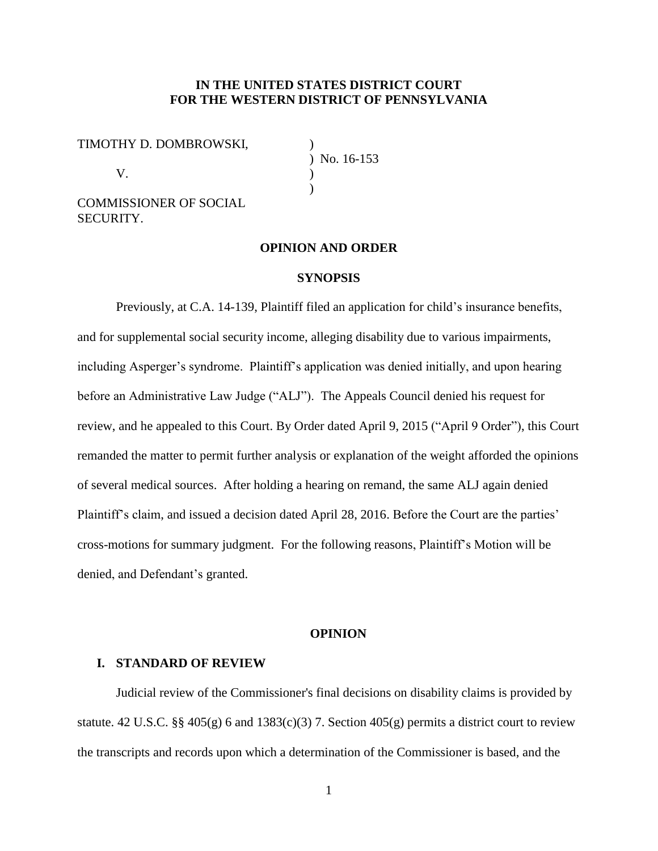## **IN THE UNITED STATES DISTRICT COURT FOR THE WESTERN DISTRICT OF PENNSYLVANIA**

TIMOTHY D. DOMBROWSKI, )

 $V.$  )

COMMISSIONER OF SOCIAL SECURITY.

) No. 16-153  $\lambda$ 

#### **OPINION AND ORDER**

#### **SYNOPSIS**

Previously, at C.A. 14-139, Plaintiff filed an application for child's insurance benefits, and for supplemental social security income, alleging disability due to various impairments, including Asperger's syndrome. Plaintiff's application was denied initially, and upon hearing before an Administrative Law Judge ("ALJ"). The Appeals Council denied his request for review, and he appealed to this Court. By Order dated April 9, 2015 ("April 9 Order"), this Court remanded the matter to permit further analysis or explanation of the weight afforded the opinions of several medical sources. After holding a hearing on remand, the same ALJ again denied Plaintiff's claim, and issued a decision dated April 28, 2016. Before the Court are the parties' cross-motions for summary judgment. For the following reasons, Plaintiff's Motion will be denied, and Defendant's granted.

#### **OPINION**

#### **I. STANDARD OF REVIEW**

Judicial review of the Commissioner's final decisions on disability claims is provided by statute. 42 U.S.C. §§ 405(g) 6 and 1383(c)(3) 7. Section 405(g) permits a district court to review the transcripts and records upon which a determination of the Commissioner is based, and the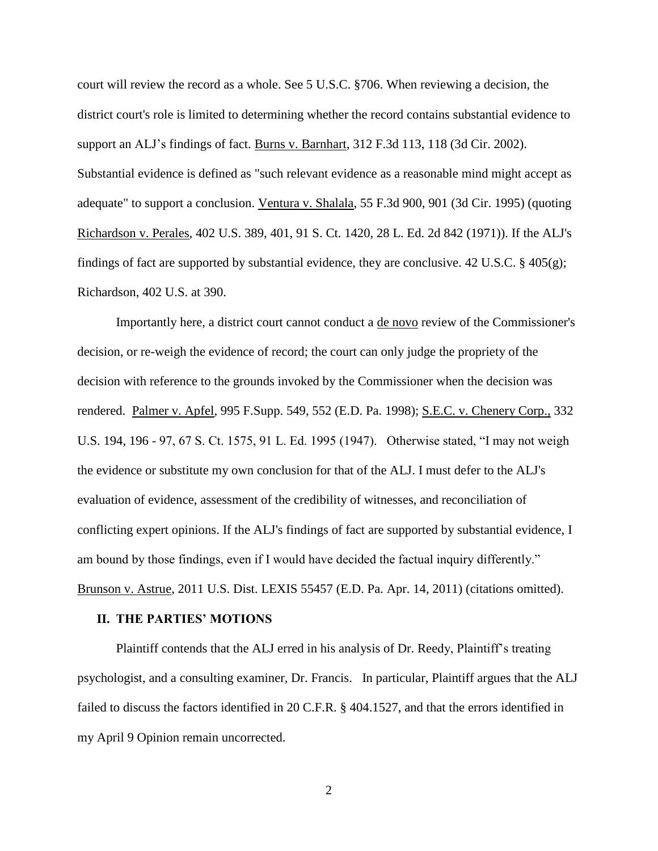court will review the record as a whole. See 5 U.S.C. §706. When reviewing a decision, the district court's role is limited to determining whether the record contains substantial evidence to support an ALJ's findings of fact. Burns v. Barnhart, 312 F.3d 113, 118 (3d Cir. 2002). Substantial evidence is defined as "such relevant evidence as a reasonable mind might accept as adequate" to support a conclusion. Ventura v. Shalala, 55 F.3d 900, 901 (3d Cir. 1995) (quoting Richardson v. Perales, 402 U.S. 389, 401, 91 S. Ct. 1420, 28 L. Ed. 2d 842 (1971)). If the ALJ's findings of fact are supported by substantial evidence, they are conclusive. 42 U.S.C. § 405(g); Richardson, 402 U.S. at 390.

Importantly here, a district court cannot conduct a de novo review of the Commissioner's decision, or re-weigh the evidence of record; the court can only judge the propriety of the decision with reference to the grounds invoked by the Commissioner when the decision was rendered. Palmer v. Apfel, 995 F.Supp. 549, 552 (E.D. Pa. 1998); S.E.C. v. Chenery Corp., 332 U.S. 194, 196 - 97, 67 S. Ct. 1575, 91 L. Ed. 1995 (1947). Otherwise stated, "I may not weigh the evidence or substitute my own conclusion for that of the ALJ. I must defer to the ALJ's evaluation of evidence, assessment of the credibility of witnesses, and reconciliation of conflicting expert opinions. If the ALJ's findings of fact are supported by substantial evidence, I am bound by those findings, even if I would have decided the factual inquiry differently." Brunson v. Astrue, 2011 U.S. Dist. LEXIS 55457 (E.D. Pa. Apr. 14, 2011) (citations omitted).

#### **II. THE PARTIES' MOTIONS**

Plaintiff contends that the ALJ erred in his analysis of Dr. Reedy, Plaintiff's treating psychologist, and a consulting examiner, Dr. Francis. In particular, Plaintiff argues that the ALJ failed to discuss the factors identified in 20 C.F.R. § 404.1527, and that the errors identified in my April 9 Opinion remain uncorrected.

2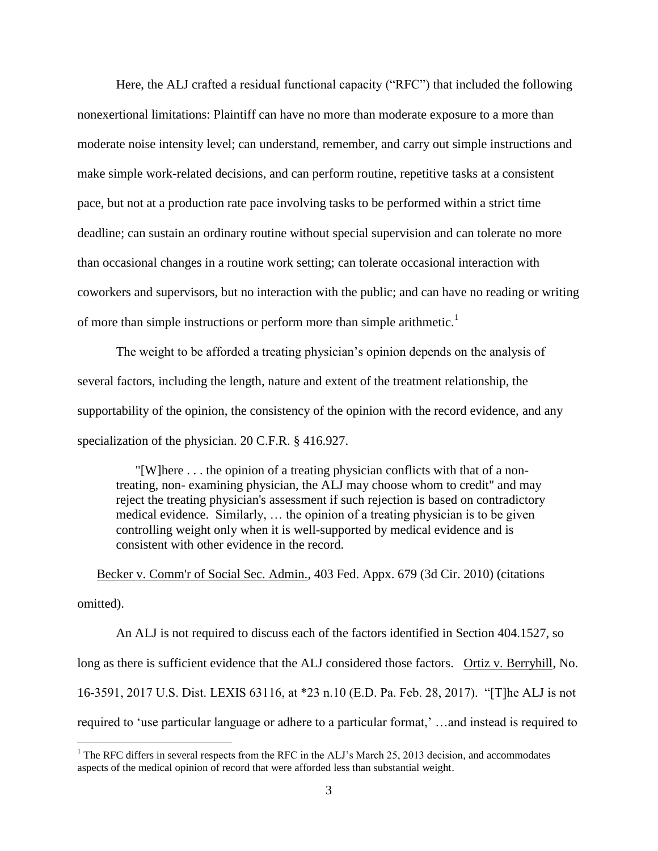Here, the ALJ crafted a residual functional capacity ("RFC") that included the following nonexertional limitations: Plaintiff can have no more than moderate exposure to a more than moderate noise intensity level; can understand, remember, and carry out simple instructions and make simple work-related decisions, and can perform routine, repetitive tasks at a consistent pace, but not at a production rate pace involving tasks to be performed within a strict time deadline; can sustain an ordinary routine without special supervision and can tolerate no more than occasional changes in a routine work setting; can tolerate occasional interaction with coworkers and supervisors, but no interaction with the public; and can have no reading or writing of more than simple instructions or perform more than simple arithmetic.<sup>1</sup>

The weight to be afforded a treating physician's opinion depends on the analysis of several factors, including the length, nature and extent of the treatment relationship, the supportability of the opinion, the consistency of the opinion with the record evidence, and any specialization of the physician. 20 C.F.R. § 416.927.

"[W]here . . . the opinion of a treating physician conflicts with that of a nontreating, non- examining physician, the ALJ may choose whom to credit" and may reject the treating physician's assessment if such rejection is based on contradictory medical evidence. Similarly, … the opinion of a treating physician is to be given controlling weight only when it is well-supported by medical evidence and is consistent with other evidence in the record.

Becker v. Comm'r of Social Sec. Admin., 403 Fed. Appx. 679 (3d Cir. 2010) (citations omitted).

An ALJ is not required to discuss each of the factors identified in Section 404.1527, so long as there is sufficient evidence that the ALJ considered those factors. Ortiz v. Berryhill, No. 16-3591, 2017 U.S. Dist. LEXIS 63116, at \*23 n.10 (E.D. Pa. Feb. 28, 2017). "[T]he ALJ is not required to 'use particular language or adhere to a particular format,' …and instead is required to

 $\overline{a}$ 

<sup>&</sup>lt;sup>1</sup> The RFC differs in several respects from the RFC in the ALJ's March 25, 2013 decision, and accommodates aspects of the medical opinion of record that were afforded less than substantial weight.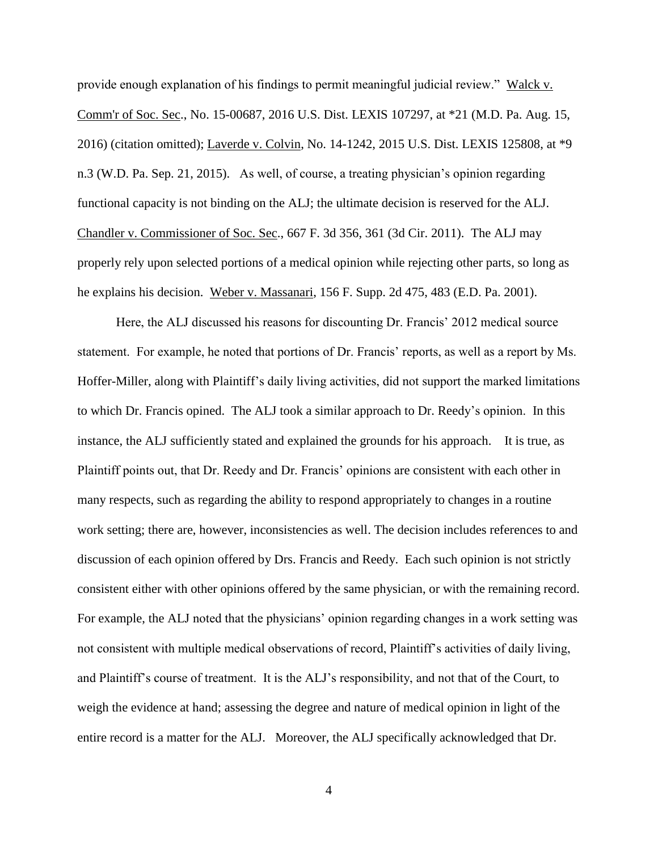provide enough explanation of his findings to permit meaningful judicial review." Walck v. Comm'r of Soc. Sec., No. 15-00687, 2016 U.S. Dist. LEXIS 107297, at \*21 (M.D. Pa. Aug. 15, 2016) (citation omitted); Laverde v. Colvin, No. 14-1242, 2015 U.S. Dist. LEXIS 125808, at \*9 n.3 (W.D. Pa. Sep. 21, 2015). As well, of course, a treating physician's opinion regarding functional capacity is not binding on the ALJ; the ultimate decision is reserved for the ALJ. Chandler v. Commissioner of Soc. Sec., 667 F. 3d 356, 361 (3d Cir. 2011). The ALJ may properly rely upon selected portions of a medical opinion while rejecting other parts, so long as he explains his decision. Weber v. Massanari, 156 F. Supp. 2d 475, 483 (E.D. Pa. 2001).

Here, the ALJ discussed his reasons for discounting Dr. Francis' 2012 medical source statement. For example, he noted that portions of Dr. Francis' reports, as well as a report by Ms. Hoffer-Miller, along with Plaintiff's daily living activities, did not support the marked limitations to which Dr. Francis opined. The ALJ took a similar approach to Dr. Reedy's opinion. In this instance, the ALJ sufficiently stated and explained the grounds for his approach. It is true, as Plaintiff points out, that Dr. Reedy and Dr. Francis' opinions are consistent with each other in many respects, such as regarding the ability to respond appropriately to changes in a routine work setting; there are, however, inconsistencies as well. The decision includes references to and discussion of each opinion offered by Drs. Francis and Reedy. Each such opinion is not strictly consistent either with other opinions offered by the same physician, or with the remaining record. For example, the ALJ noted that the physicians' opinion regarding changes in a work setting was not consistent with multiple medical observations of record, Plaintiff's activities of daily living, and Plaintiff's course of treatment. It is the ALJ's responsibility, and not that of the Court, to weigh the evidence at hand; assessing the degree and nature of medical opinion in light of the entire record is a matter for the ALJ. Moreover, the ALJ specifically acknowledged that Dr.

4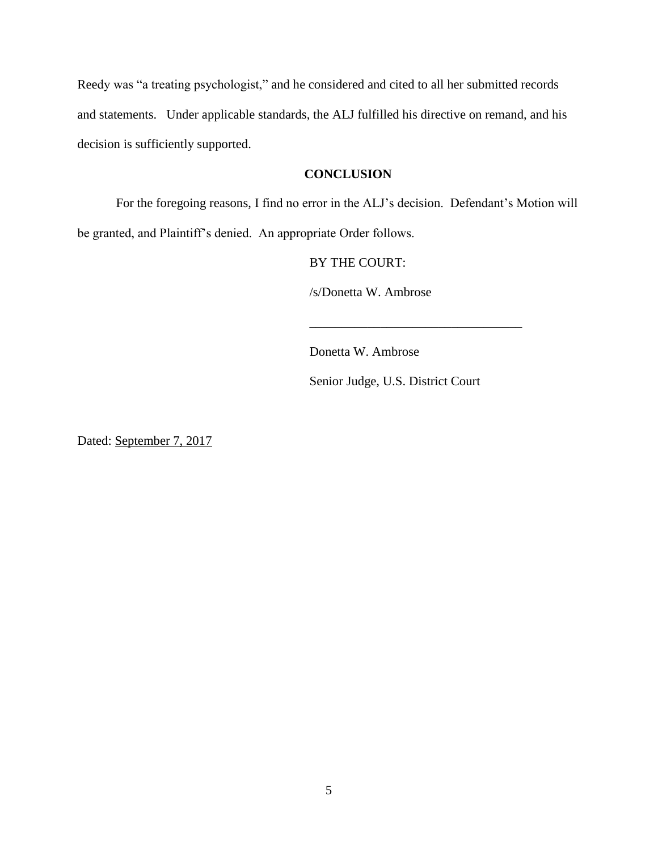Reedy was "a treating psychologist," and he considered and cited to all her submitted records and statements. Under applicable standards, the ALJ fulfilled his directive on remand, and his decision is sufficiently supported.

# **CONCLUSION**

For the foregoing reasons, I find no error in the ALJ's decision. Defendant's Motion will be granted, and Plaintiff's denied. An appropriate Order follows.

BY THE COURT:

/s/Donetta W. Ambrose

Donetta W. Ambrose

Senior Judge, U.S. District Court

\_\_\_\_\_\_\_\_\_\_\_\_\_\_\_\_\_\_\_\_\_\_\_\_\_\_\_\_\_\_\_\_\_

Dated: September 7, 2017